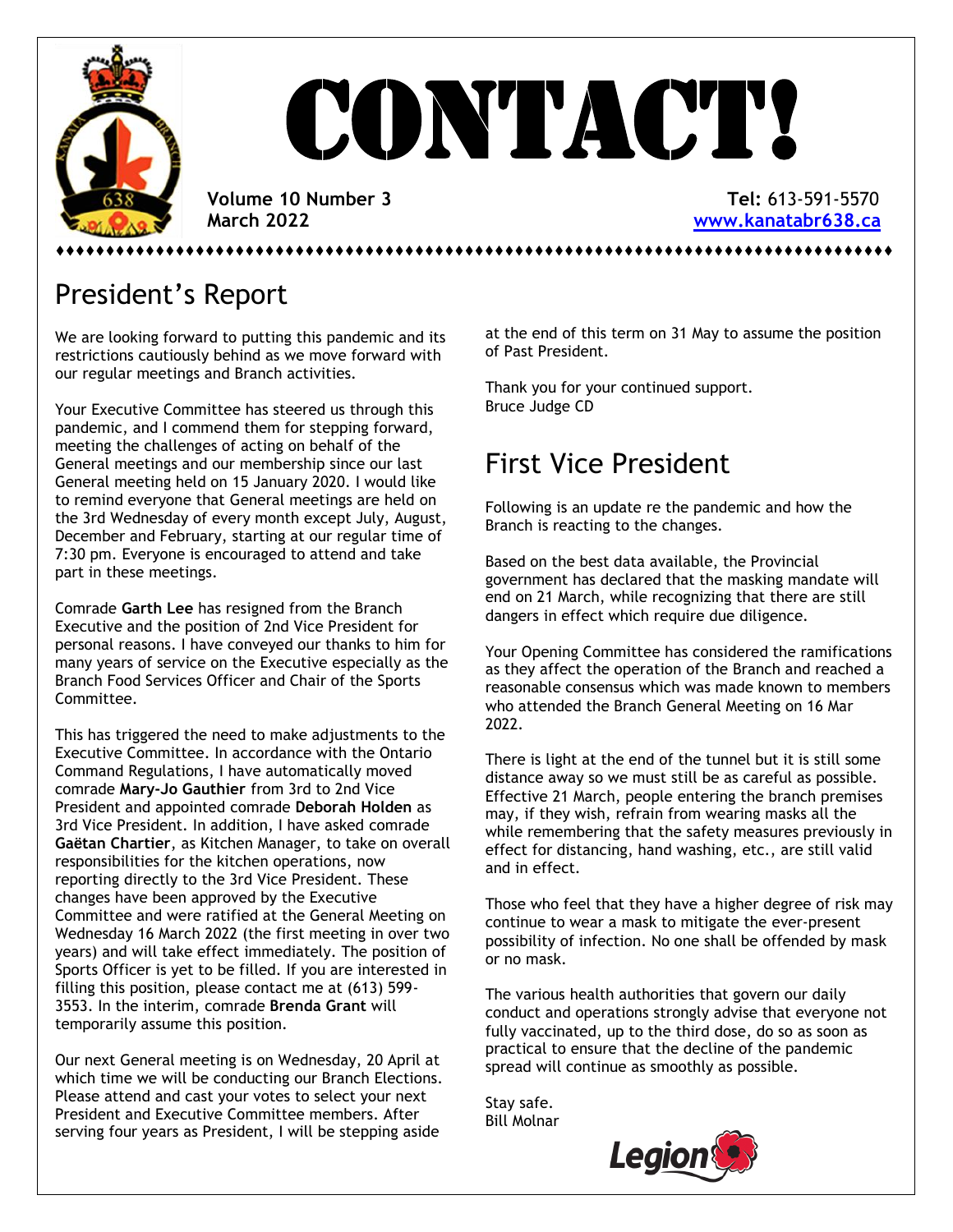

# **CONTACT!**

 **Volume 10 Number 3 Tel:** 613-591-5570  **March 2022 [www.kanatabr638.ca](http://www.kanatabr638.ca/)**

⬧⬧⬧⬧⬧⬧⬧⬧⬧⬧⬧⬧⬧⬧⬧⬧⬧⬧⬧⬧⬧⬧⬧⬧⬧⬧⬧⬧⬧⬧⬧⬧⬧⬧⬧⬧⬧⬧⬧⬧⬧⬧⬧⬧⬧⬧⬧⬧⬧⬧⬧⬧⬧⬧⬧⬧⬧⬧⬧⬧⬧⬧⬧⬧⬧⬧⬧⬧⬧⬧⬧⬧⬧⬧⬧⬧⬧⬧⬧⬧⬧⬧⬧⬧

## President's Report

We are looking forward to putting this pandemic and its restrictions cautiously behind as we move forward with our regular meetings and Branch activities.

Your Executive Committee has steered us through this pandemic, and I commend them for stepping forward, meeting the challenges of acting on behalf of the General meetings and our membership since our last General meeting held on 15 January 2020. I would like to remind everyone that General meetings are held on the 3rd Wednesday of every month except July, August, December and February, starting at our regular time of 7:30 pm. Everyone is encouraged to attend and take part in these meetings.

Comrade **Garth Lee** has resigned from the Branch Executive and the position of 2nd Vice President for personal reasons. I have conveyed our thanks to him for many years of service on the Executive especially as the Branch Food Services Officer and Chair of the Sports Committee.

This has triggered the need to make adjustments to the Executive Committee. In accordance with the Ontario Command Regulations, I have automatically moved comrade **Mary-Jo Gauthier** from 3rd to 2nd Vice President and appointed comrade **Deborah Holden** as 3rd Vice President. In addition, I have asked comrade **Gaëtan Chartier**, as Kitchen Manager, to take on overall responsibilities for the kitchen operations, now reporting directly to the 3rd Vice President. These changes have been approved by the Executive Committee and were ratified at the General Meeting on Wednesday 16 March 2022 (the first meeting in over two years) and will take effect immediately. The position of Sports Officer is yet to be filled. If you are interested in filling this position, please contact me at (613) 599- 3553. In the interim, comrade **Brenda Grant** will temporarily assume this position.

Our next General meeting is on Wednesday, 20 April at which time we will be conducting our Branch Elections. Please attend and cast your votes to select your next President and Executive Committee members. After serving four years as President, I will be stepping aside

at the end of this term on 31 May to assume the position of Past President.

Thank you for your continued support. Bruce Judge CD

## First Vice President

Following is an update re the pandemic and how the Branch is reacting to the changes.

Based on the best data available, the Provincial government has declared that the masking mandate will end on 21 March, while recognizing that there are still dangers in effect which require due diligence.

Your Opening Committee has considered the ramifications as they affect the operation of the Branch and reached a reasonable consensus which was made known to members who attended the Branch General Meeting on 16 Mar 2022.

There is light at the end of the tunnel but it is still some distance away so we must still be as careful as possible. Effective 21 March, people entering the branch premises may, if they wish, refrain from wearing masks all the while remembering that the safety measures previously in effect for distancing, hand washing, etc., are still valid and in effect.

Those who feel that they have a higher degree of risk may continue to wear a mask to mitigate the ever-present possibility of infection. No one shall be offended by mask or no mask.

The various health authorities that govern our daily conduct and operations strongly advise that everyone not fully vaccinated, up to the third dose, do so as soon as practical to ensure that the decline of the pandemic spread will continue as smoothly as possible.

Stay safe. Bill Molnar

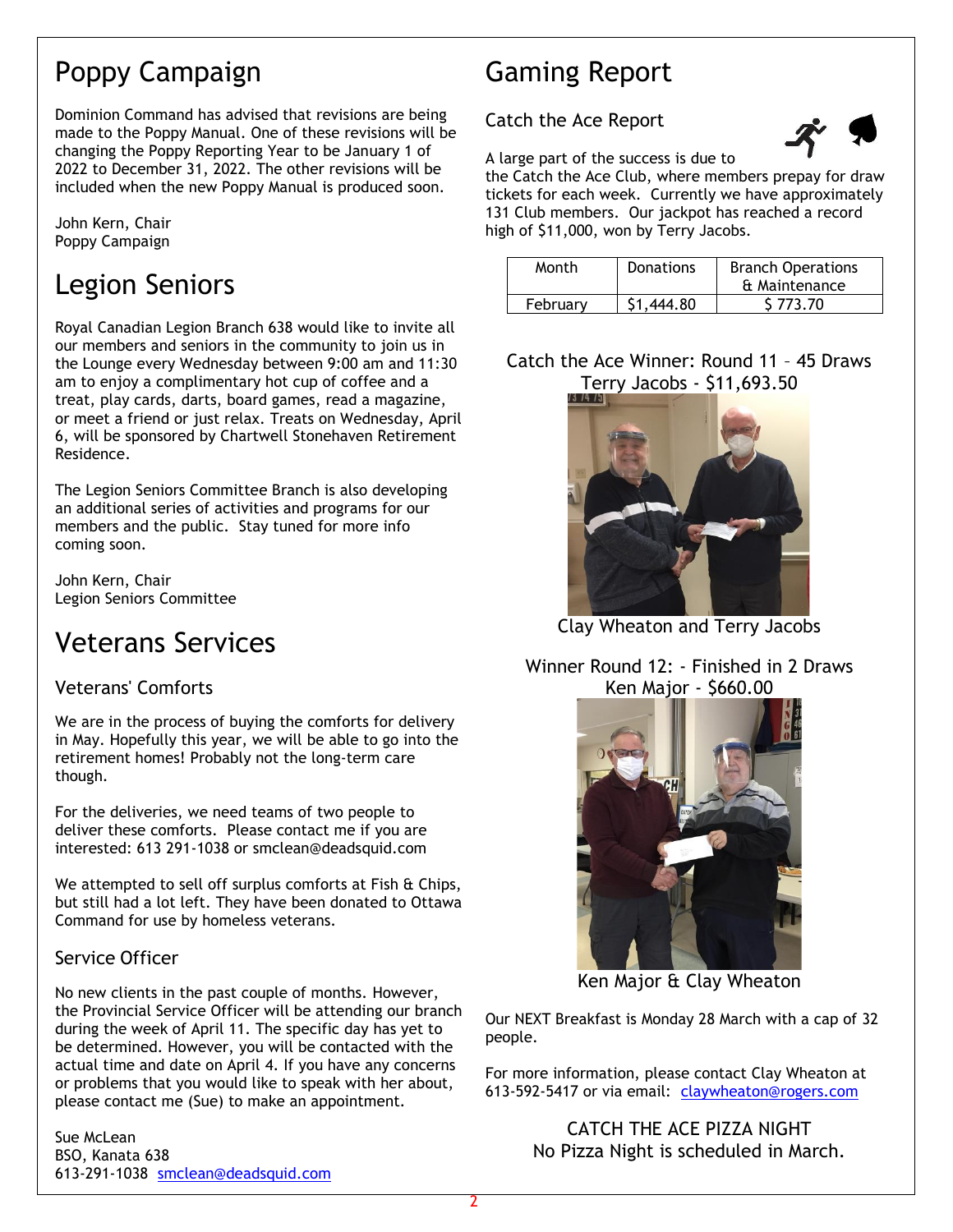## Poppy Campaign

Dominion Command has advised that revisions are being made to the Poppy Manual. One of these revisions will be changing the Poppy Reporting Year to be January 1 of 2022 to December 31, 2022. The other revisions will be included when the new Poppy Manual is produced soon.

John Kern, Chair Poppy Campaign

## Legion Seniors

Royal Canadian Legion Branch 638 would like to invite all our members and seniors in the community to join us in the Lounge every Wednesday between 9:00 am and 11:30 am to enjoy a complimentary hot cup of coffee and a treat, play cards, darts, board games, read a magazine, or meet a friend or just relax. Treats on Wednesday, April 6, will be sponsored by Chartwell Stonehaven Retirement Residence.

The Legion Seniors Committee Branch is also developing an additional series of activities and programs for our members and the public. Stay tuned for more info coming soon.

John Kern, Chair Legion Seniors Committee

## Veterans Services

## Veterans' Comforts

We are in the process of buying the comforts for delivery in May. Hopefully this year, we will be able to go into the retirement homes! Probably not the long-term care though.

For the deliveries, we need teams of two people to deliver these comforts. Please contact me if you are interested: 613 291-1038 or smclean@deadsquid.com

We attempted to sell off surplus comforts at Fish & Chips, but still had a lot left. They have been donated to Ottawa Command for use by homeless veterans.

#### Service Officer

No new clients in the past couple of months. However, the Provincial Service Officer will be attending our branch during the week of April 11. The specific day has yet to be determined. However, you will be contacted with the actual time and date on April 4. If you have any concerns or problems that you would like to speak with her about, please contact me (Sue) to make an appointment.

Sue McLean BSO, Kanata 638 613-291-1038 [smclean@deadsquid.com](mailto:smclean@deadsquid.com)

## Gaming Report

#### Catch the Ace Report



A large part of the success is due to

the Catch the Ace Club, where members prepay for draw tickets for each week. Currently we have approximately 131 Club members. Our jackpot has reached a record high of \$11,000, won by Terry Jacobs.

| Month    | Donations  | <b>Branch Operations</b> |  |
|----------|------------|--------------------------|--|
|          |            | & Maintenance            |  |
| February | \$1,444.80 | S 773.70                 |  |

### Catch the Ace Winner: Round 11 – 45 Draws Terry Jacobs - \$11,693.50



Clay Wheaton and Terry Jacobs

Winner Round 12: - Finished in 2 Draws Ken Major - \$660.00



Ken Major & Clay Wheaton

Our NEXT Breakfast is Monday 28 March with a cap of 32 people.

For more information, please contact Clay Wheaton at 613-592-5417 or via email: [claywheaton@rogers.com](mailto:claywheaton@rogers.com)

> CATCH THE ACE PIZZA NIGHT No Pizza Night is scheduled in March.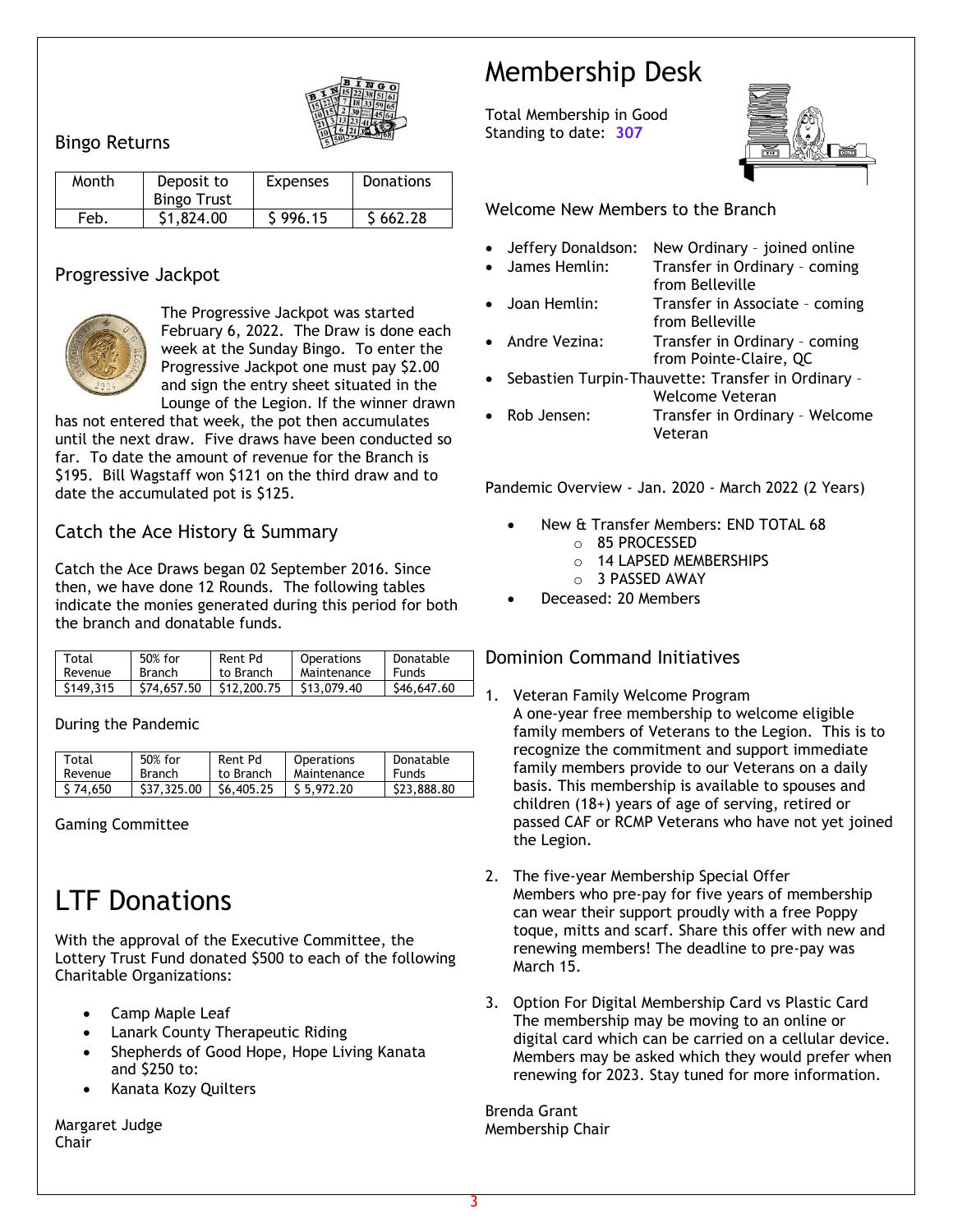

#### Bingo Returns

| Month | Deposit to<br><b>Bingo Trust</b> | <b>Expenses</b> | <b>Donations</b> |
|-------|----------------------------------|-----------------|------------------|
| Feb.  | \$1,824.00                       | \$996.15        | \$662.28         |

#### Progressive Jackpot



The Progressive Jackpot was started February 6, 2022. The Draw is done each week at the Sunday Bingo. To enter the Progressive Jackpot one must pay \$2.00 and sign the entry sheet situated in the Lounge of the Legion. If the winner drawn

has not entered that week, the pot then accumulates until the next draw. Five draws have been conducted so far. To date the amount of revenue for the Branch is \$195. Bill Wagstaff won \$121 on the third draw and to date the accumulated pot is \$125.

#### Catch the Ace History & Summary

Catch the Ace Draws began 02 September 2016. Since then, we have done 12 Rounds. The following tables indicate the monies generated during this period for both the branch and donatable funds.

| Total     | 50% for       | Rent Pd     | Operations  | Donatable    |
|-----------|---------------|-------------|-------------|--------------|
| Revenue   | <b>Branch</b> | to Branch   | Maintenance | <b>Funds</b> |
| \$149.315 | \$74,657.50   | \$12,200.75 | \$13,079.40 | \$46,647.60  |

#### During the Pandemic

| Total    | 50% for       | Rent Pd   | Operations  | Donatable   |
|----------|---------------|-----------|-------------|-------------|
| Revenue  | <b>Branch</b> | to Branch | Maintenance | Funds       |
| \$74.650 | \$37,325.00   | S6.405.25 | \$5.972.20  | \$23,888.80 |

Gaming Committee

## LTF Donations

With the approval of the Executive Committee, the Lottery Trust Fund donated \$500 to each of the following Charitable Organizations:

- Camp Maple Leaf
- Lanark County Therapeutic Riding
- Shepherds of Good Hope, Hope Living Kanata and \$250 to:
- Kanata Kozy Quilters

Margaret Judge Chair

## Membership Desk

Total Membership in Good Standing to date: **307**



Welcome New Members to the Branch

- Jeffery Donaldson: New Ordinary joined online
	- James Hemlin: Transfer in Ordinary coming from Belleville
	- Joan Hemlin: Transfer in Associate coming from Belleville
- Andre Vezina: Transfer in Ordinary coming from Pointe-Claire, QC
- Sebastien Turpin-Thauvette: Transfer in Ordinary Welcome Veteran
- Rob Jensen: Transfer in Ordinary Welcome Veteran

Pandemic Overview - Jan. 2020 - March 2022 (2 Years)

- New & Transfer Members: END TOTAL 68
	- o 85 PROCESSED
	- o 14 LAPSED MEMBERSHIPS
	- o 3 PASSED AWAY
- Deceased: 20 Members

#### Dominion Command Initiatives

- 1. Veteran Family Welcome Program A one-year free membership to welcome eligible family members of Veterans to the Legion. This is to recognize the commitment and support immediate family members provide to our Veterans on a daily basis. This membership is available to spouses and children (18+) years of age of serving, retired or passed CAF or RCMP Veterans who have not yet joined the Legion.
- 2. The five-year Membership Special Offer Members who pre-pay for five years of membership can wear their support proudly with a free Poppy toque, mitts and scarf. Share this offer with new and renewing members! The deadline to pre-pay was March 15.
- 3. Option For Digital Membership Card vs Plastic Card The membership may be moving to an online or digital card which can be carried on a cellular device. Members may be asked which they would prefer when renewing for 2023. Stay tuned for more information.

Brenda Grant Membership Chair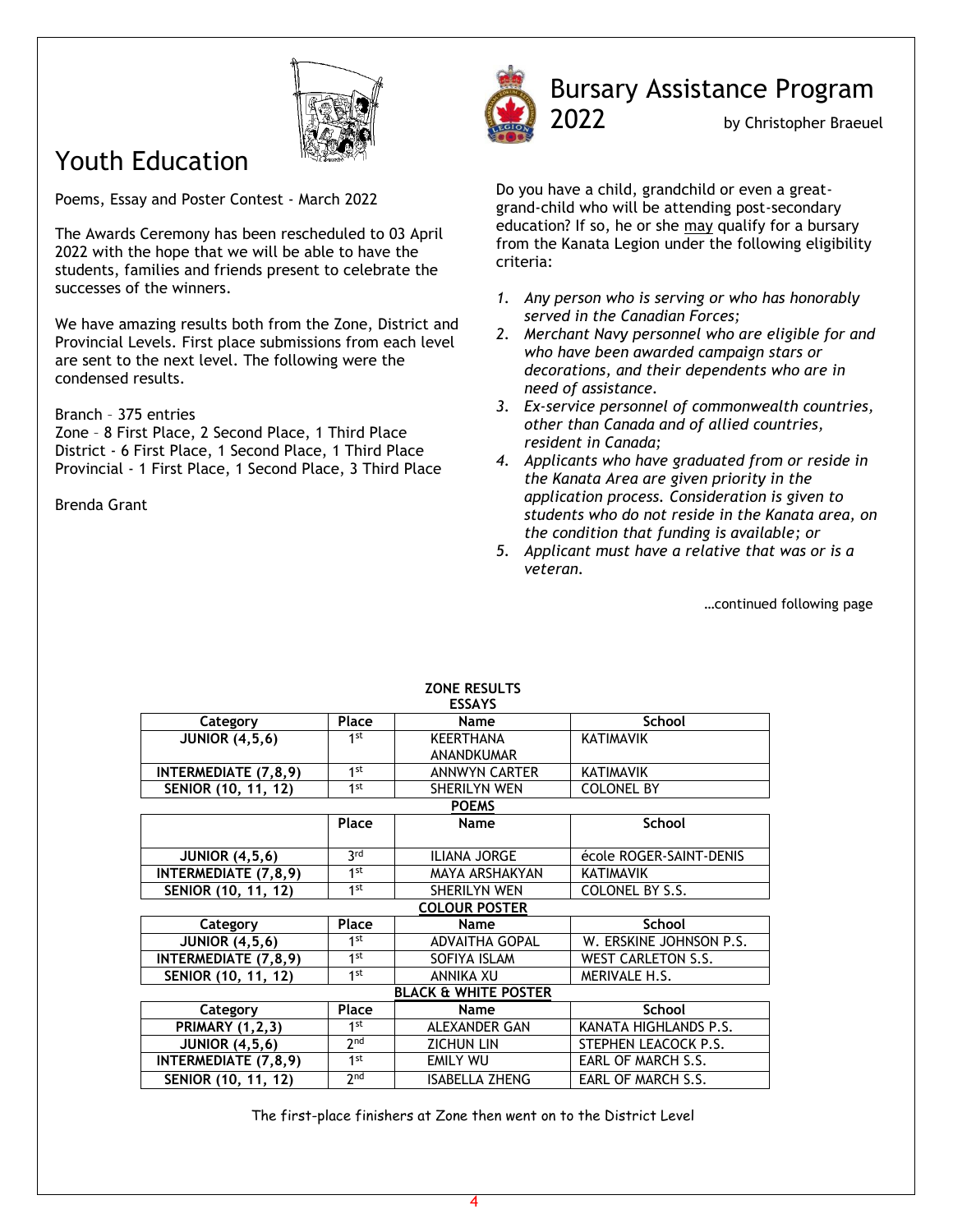

## Youth Education

Poems, Essay and Poster Contest - March 2022

The Awards Ceremony has been rescheduled to 03 April 2022 with the hope that we will be able to have the students, families and friends present to celebrate the successes of the winners.

We have amazing results both from the Zone, District and Provincial Levels. First place submissions from each level are sent to the next level. The following were the condensed results.

#### Branch – 375 entries

Zone – 8 First Place, 2 Second Place, 1 Third Place District - 6 First Place, 1 Second Place, 1 Third Place Provincial - 1 First Place, 1 Second Place, 3 Third Place

Brenda Grant



## Bursary Assistance Program

2022 by Christopher Braeuel

Do you have a child, grandchild or even a greatgrand-child who will be attending post-secondary education? If so, he or she may qualify for a bursary from the Kanata Legion under the following eligibility criteria:

- *1. Any person who is serving or who has honorably served in the Canadian Forces;*
- *2. Merchant Navy personnel who are eligible for and who have been awarded campaign stars or decorations, and their dependents who are in need of assistance.*
- *3. Ex-service personnel of commonwealth countries, other than Canada and of allied countries, resident in Canada;*
- *4. Applicants who have graduated from or reside in the Kanata Area are given priority in the application process. Consideration is given to students who do not reside in the Kanata area, on the condition that funding is available; or*
- *5. Applicant must have a relative that was or is a veteran.*

…continued following page

| <b>ESSAYS</b>                   |                 |                       |                           |  |
|---------------------------------|-----------------|-----------------------|---------------------------|--|
| Category                        | Place           | <b>Name</b>           | <b>School</b>             |  |
| <b>JUNIOR (4,5,6)</b>           | 1 <sup>st</sup> | <b>KEERTHANA</b>      | <b>KATIMAVIK</b>          |  |
|                                 |                 | <b>ANANDKUMAR</b>     |                           |  |
| <b>INTERMEDIATE (7,8,9)</b>     | 1 <sup>st</sup> | <b>ANNWYN CARTER</b>  | <b>KATIMAVIK</b>          |  |
| SENIOR (10, 11, 12)             | 1 <sup>st</sup> | <b>SHERILYN WEN</b>   | <b>COLONEL BY</b>         |  |
|                                 |                 | <b>POEMS</b>          |                           |  |
|                                 | Place           | Name                  | <b>School</b>             |  |
|                                 |                 |                       |                           |  |
| <b>JUNIOR (4,5,6)</b>           | 3rd             | <b>ILIANA JORGE</b>   | école ROGER-SAINT-DENIS   |  |
| <b>INTERMEDIATE (7,8,9)</b>     | 1 <sup>st</sup> | <b>MAYA ARSHAKYAN</b> | KATIMAVIK                 |  |
| SENIOR (10, 11, 12)             | 1st             | <b>SHERILYN WEN</b>   | COLONEL BY S.S.           |  |
|                                 |                 | <b>COLOUR POSTER</b>  |                           |  |
| Category                        | Place           | Name                  | <b>School</b>             |  |
| <b>JUNIOR (4,5,6)</b>           | 1st             | <b>ADVAITHA GOPAL</b> | W. ERSKINE JOHNSON P.S.   |  |
| <b>INTERMEDIATE (7,8,9)</b>     | 1 <sup>st</sup> | SOFIYA ISLAM          | <b>WEST CARLETON S.S.</b> |  |
| SENIOR (10, 11, 12)             | 1 <sup>st</sup> | ANNIKA XU             | MERIVALE H.S.             |  |
| <b>BLACK &amp; WHITE POSTER</b> |                 |                       |                           |  |
| Category                        | Place           | Name                  | <b>School</b>             |  |
| <b>PRIMARY (1,2,3)</b>          | $1$ st          | <b>ALEXANDER GAN</b>  | KANATA HIGHLANDS P.S.     |  |
| <b>JUNIOR (4,5,6)</b>           | 2 <sub>nd</sub> | <b>ZICHUN LIN</b>     | STEPHEN LEACOCK P.S.      |  |
| <b>INTERMEDIATE (7,8,9)</b>     | 1 <sup>st</sup> | EMILY WU              | EARL OF MARCH S.S.        |  |
| SENIOR (10, 11, 12)             | 2 <sub>nd</sub> | <b>ISABELLA ZHENG</b> | EARL OF MARCH S.S.        |  |

#### **ZONE RESULTS**

The first-place finishers at Zone then went on to the District Level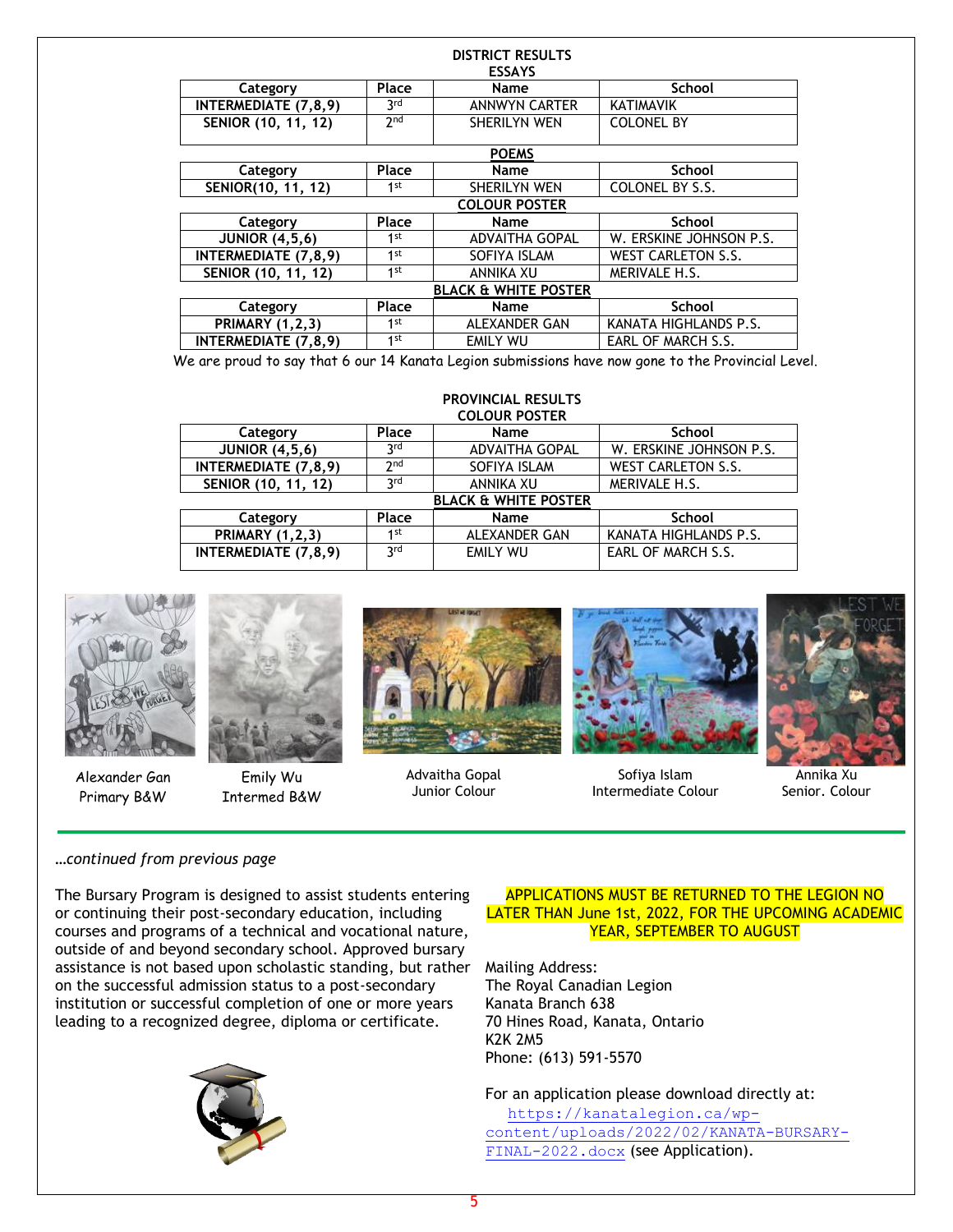| <b>DISTRICT RESULTS</b>         |                 |                       |                           |  |  |
|---------------------------------|-----------------|-----------------------|---------------------------|--|--|
| <b>ESSAYS</b>                   |                 |                       |                           |  |  |
| Category                        | Place<br>Name   |                       | <b>School</b>             |  |  |
| <b>INTERMEDIATE (7,8,9)</b>     | 3 <sup>rd</sup> | <b>ANNWYN CARTER</b>  | <b>KATIMAVIK</b>          |  |  |
| SENIOR (10, 11, 12)             | 2 <sub>nd</sub> | SHERILYN WEN          | <b>COLONEL BY</b>         |  |  |
|                                 |                 |                       |                           |  |  |
|                                 |                 | <b>POEMS</b>          |                           |  |  |
| Category                        | Place           | <b>Name</b>           | <b>School</b>             |  |  |
| SENIOR(10, 11, 12)              | 1 <sup>st</sup> | SHERILYN WEN          | COLONEL BY S.S.           |  |  |
|                                 |                 | <b>COLOUR POSTER</b>  |                           |  |  |
| Category                        | Place           | <b>Name</b>           | <b>School</b>             |  |  |
| <b>JUNIOR (4,5,6)</b>           | 1 <sup>st</sup> | <b>ADVAITHA GOPAL</b> | W. ERSKINE JOHNSON P.S.   |  |  |
| <b>INTERMEDIATE (7,8,9)</b>     | 1 <sup>st</sup> | SOFIYA ISLAM          | <b>WEST CARLETON S.S.</b> |  |  |
| SENIOR (10, 11, 12)             | 1 <sup>st</sup> | <b>ANNIKA XU</b>      | MERIVALE H.S.             |  |  |
| <b>BLACK &amp; WHITE POSTER</b> |                 |                       |                           |  |  |
| Category                        | Place           | <b>Name</b>           | <b>School</b>             |  |  |
| <b>PRIMARY (1,2,3)</b>          | 1 <sup>st</sup> | ALEXANDER GAN         | KANATA HIGHLANDS P.S.     |  |  |
| <b>INTERMEDIATE (7,8,9)</b>     | 1 <sup>st</sup> | <b>EMILY WU</b>       | EARL OF MARCH S.S.        |  |  |

We are proud to say that 6 our 14 Kanata Legion submissions have now gone to the Provincial Level.

#### **PROVINCIAL RESULTS COLOUR POSTER**

| Category                        | Place           | Name                  | <b>School</b>             |  |
|---------------------------------|-----------------|-----------------------|---------------------------|--|
| <b>JUNIOR (4,5,6)</b>           | 3 <sup>rd</sup> | <b>ADVAITHA GOPAL</b> | W. ERSKINE JOHNSON P.S.   |  |
| INTERMEDIATE (7,8,9)            | 2 <sub>nd</sub> | SOFIYA ISLAM          | <b>WEST CARLETON S.S.</b> |  |
| SENIOR (10, 11, 12)             | 3 <sup>rd</sup> | <b>ANNIKA XU</b>      | MERIVALE H.S.             |  |
| <b>BLACK &amp; WHITE POSTER</b> |                 |                       |                           |  |
| Category                        | Place           | Name                  | <b>School</b>             |  |
| <b>PRIMARY (1,2,3)</b>          | 1st             | ALEXANDER GAN         | KANATA HIGHLANDS P.S.     |  |
| <b>INTERMEDIATE (7,8,9)</b>     | <b>a</b> rd     | <b>EMILY WU</b>       | EARL OF MARCH S.S.        |  |
|                                 |                 |                       |                           |  |



Alexander Gan Primary B&W



Emily Wu Intermed B&W



Advaitha Gopal Junior Colour



Sofiya Islam Intermediate Colour



Annika Xu Senior. Colour

#### *…continued from previous page*

The Bursary Program is designed to assist students entering or continuing their post-secondary education, including courses and programs of a technical and vocational nature, outside of and beyond secondary school. Approved bursary assistance is not based upon scholastic standing, but rather on the successful admission status to a post-secondary institution or successful completion of one or more years leading to a recognized degree, diploma or certificate.



#### APPLICATIONS MUST BE RETURNED TO THE LEGION NO LATER THAN June 1st, 2022, FOR THE UPCOMING ACADEMIC YEAR, SEPTEMBER TO AUGUST

Mailing Address: The Royal Canadian Legion Kanata Branch 638 70 Hines Road, Kanata, Ontario K2K 2M5 Phone: (613) 591-5570

For an application please download directly at:

[https://kanatalegion.ca/wp](https://kanatalegion.ca/wp-content/uploads/2022/02/KANATA-BURSARY-FINAL-2022.docx)[content/uploads/2022/02/KANATA-BURSARY-](https://kanatalegion.ca/wp-content/uploads/2022/02/KANATA-BURSARY-FINAL-2022.docx)[FINAL-2022.docx](https://kanatalegion.ca/wp-content/uploads/2022/02/KANATA-BURSARY-FINAL-2022.docx) (see Application).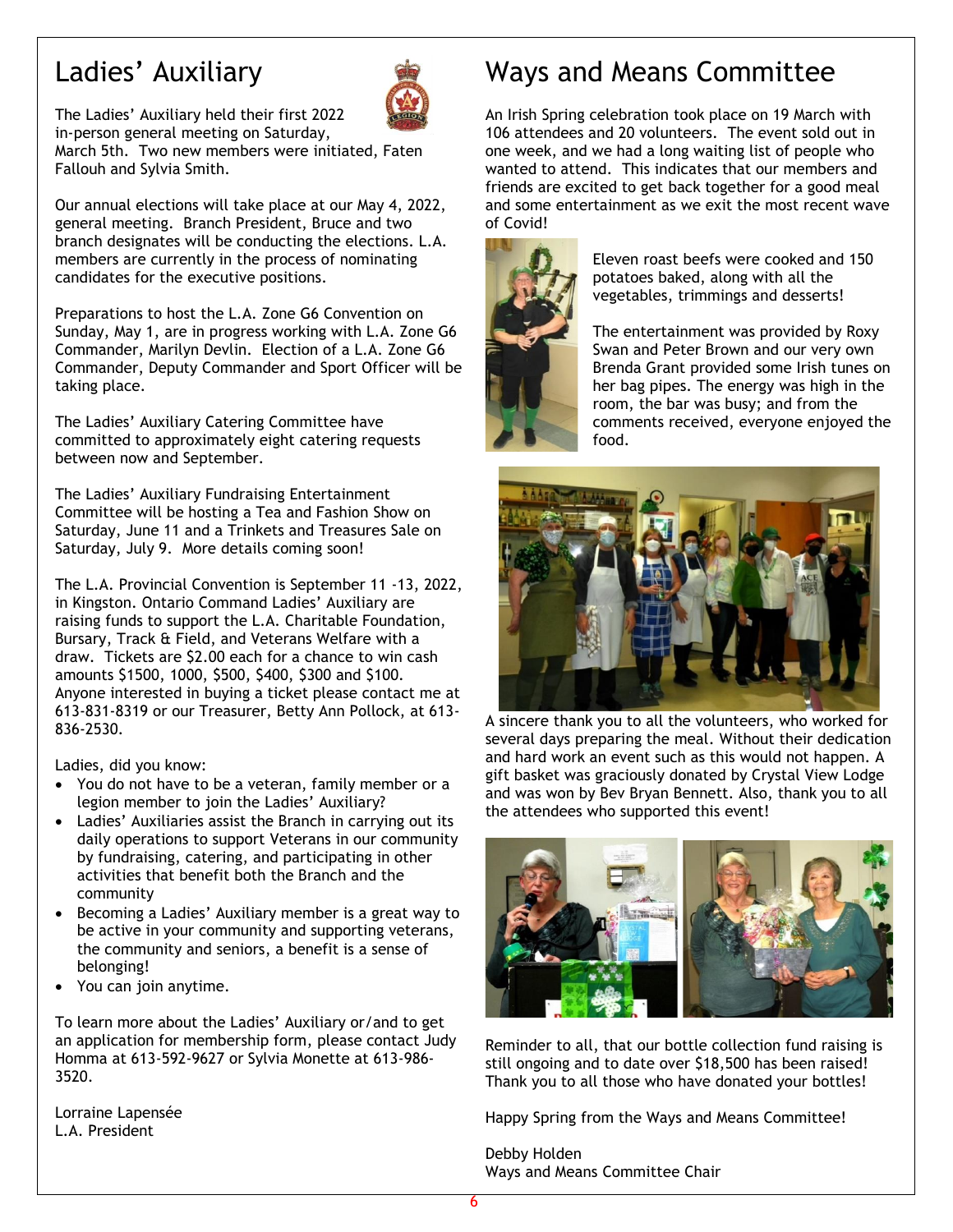## Ladies' Auxiliary



The Ladies' Auxiliary held their first 2022 in-person general meeting on Saturday,

March 5th. Two new members were initiated, Faten Fallouh and Sylvia Smith.

Our annual elections will take place at our May 4, 2022, general meeting. Branch President, Bruce and two branch designates will be conducting the elections. L.A. members are currently in the process of nominating candidates for the executive positions.

Preparations to host the L.A. Zone G6 Convention on Sunday, May 1, are in progress working with L.A. Zone G6 Commander, Marilyn Devlin. Election of a L.A. Zone G6 Commander, Deputy Commander and Sport Officer will be taking place.

The Ladies' Auxiliary Catering Committee have committed to approximately eight catering requests between now and September.

The Ladies' Auxiliary Fundraising Entertainment Committee will be hosting a Tea and Fashion Show on Saturday, June 11 and a Trinkets and Treasures Sale on Saturday, July 9. More details coming soon!

The L.A. Provincial Convention is September 11 -13, 2022, in Kingston. Ontario Command Ladies' Auxiliary are raising funds to support the L.A. Charitable Foundation, Bursary, Track & Field, and Veterans Welfare with a draw. Tickets are \$2.00 each for a chance to win cash amounts \$1500, 1000, \$500, \$400, \$300 and \$100. Anyone interested in buying a ticket please contact me at 613-831-8319 or our Treasurer, Betty Ann Pollock, at 613- 836-2530.

Ladies, did you know:

- You do not have to be a veteran, family member or a legion member to join the Ladies' Auxiliary?
- Ladies' Auxiliaries assist the Branch in carrying out its daily operations to support Veterans in our community by fundraising, catering, and participating in other activities that benefit both the Branch and the community
- Becoming a Ladies' Auxiliary member is a great way to be active in your community and supporting veterans, the community and seniors, a benefit is a sense of belonging!
- You can join anytime.

To learn more about the Ladies' Auxiliary or/and to get an application for membership form, please contact Judy Homma at 613-592-9627 or Sylvia Monette at 613-986- 3520.

Lorraine Lapensée L.A. President

## Ways and Means Committee

An Irish Spring celebration took place on 19 March with 106 attendees and 20 volunteers. The event sold out in one week, and we had a long waiting list of people who wanted to attend. This indicates that our members and friends are excited to get back together for a good meal and some entertainment as we exit the most recent wave of Covid!



Eleven roast beefs were cooked and 150 potatoes baked, along with all the vegetables, trimmings and desserts!

The entertainment was provided by Roxy Swan and Peter Brown and our very own Brenda Grant provided some Irish tunes on her bag pipes. The energy was high in the room, the bar was busy; and from the comments received, everyone enjoyed the food.



A sincere thank you to all the volunteers, who worked for several days preparing the meal. Without their dedication and hard work an event such as this would not happen. A gift basket was graciously donated by Crystal View Lodge and was won by Bev Bryan Bennett. Also, thank you to all the attendees who supported this event!



Reminder to all, that our bottle collection fund raising is still ongoing and to date over \$18,500 has been raised! Thank you to all those who have donated your bottles!

Happy Spring from the Ways and Means Committee!

Debby Holden Ways and Means Committee Chair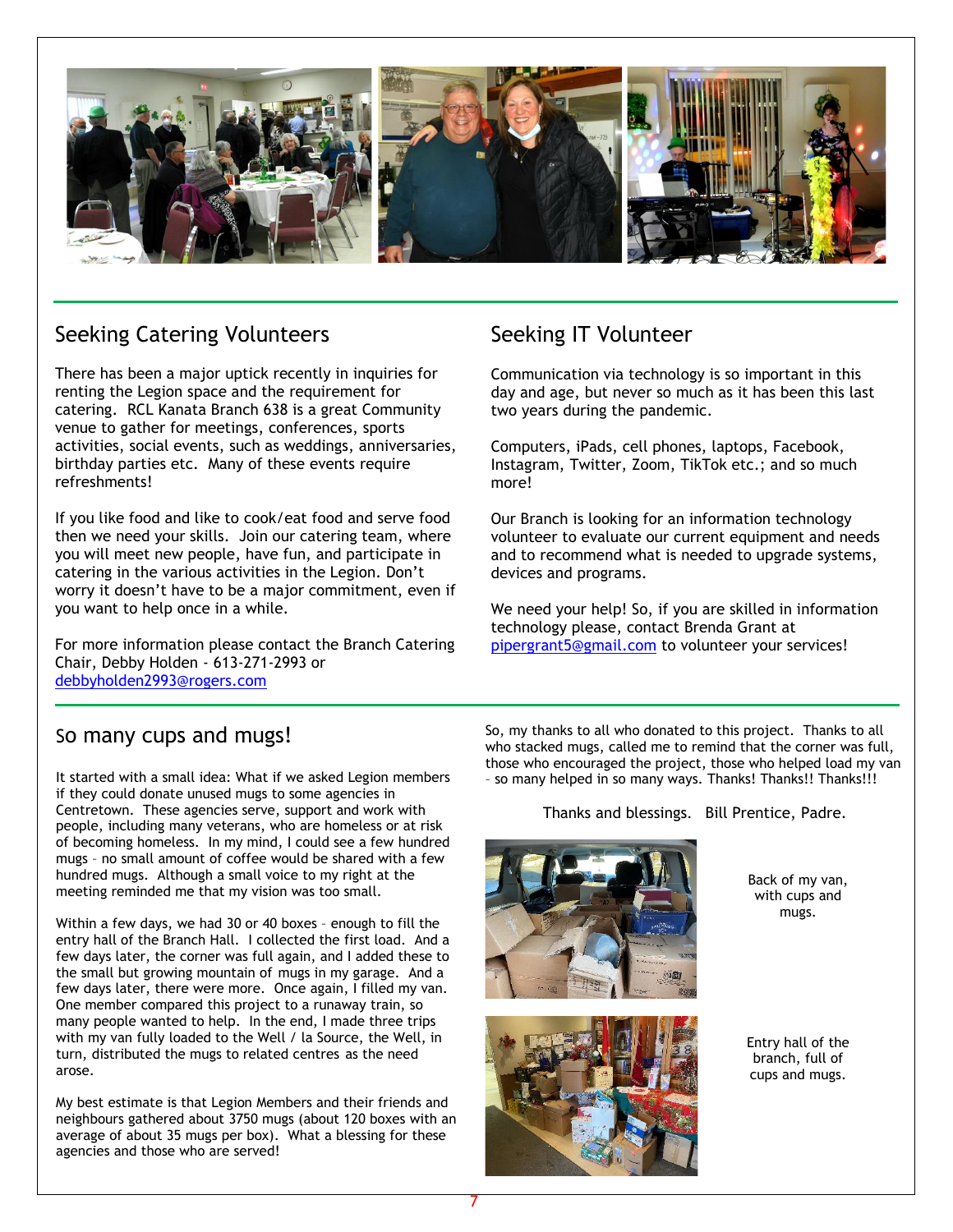

## Seeking Catering Volunteers

There has been a major uptick recently in inquiries for renting the Legion space and the requirement for catering. RCL Kanata Branch 638 is a great Community venue to gather for meetings, conferences, sports activities, social events, such as weddings, anniversaries, birthday parties etc. Many of these events require refreshments!

If you like food and like to cook/eat food and serve food then we need your skills. Join our catering team, where you will meet new people, have fun, and participate in catering in the various activities in the Legion. Don't worry it doesn't have to be a major commitment, even if you want to help once in a while.

For more information please contact the Branch Catering Chair, Debby Holden - 613-271-2993 or [debbyholden2993@rogers.com](mailto:debbyholden2993@rogers.com)

## Seeking IT Volunteer

Communication via technology is so important in this day and age, but never so much as it has been this last two years during the pandemic.

Computers, iPads, cell phones, laptops, Facebook, Instagram, Twitter, Zoom, TikTok etc.; and so much more!

Our Branch is looking for an information technology volunteer to evaluate our current equipment and needs and to recommend what is needed to upgrade systems, devices and programs.

We need your help! So, if you are skilled in information technology please, contact Brenda Grant at [pipergrant5@gmail.com](mailto:pipergrant5@gmail.com) to volunteer your services!

## So many cups and mugs!

It started with a small idea: What if we asked Legion members if they could donate unused mugs to some agencies in Centretown. These agencies serve, support and work with people, including many veterans, who are homeless or at risk of becoming homeless. In my mind, I could see a few hundred mugs – no small amount of coffee would be shared with a few hundred mugs. Although a small voice to my right at the meeting reminded me that my vision was too small.

Within a few days, we had 30 or 40 boxes – enough to fill the entry hall of the Branch Hall. I collected the first load. And a few days later, the corner was full again, and I added these to the small but growing mountain of mugs in my garage. And a few days later, there were more. Once again, I filled my van. One member compared this project to a runaway train, so many people wanted to help. In the end, I made three trips with my van fully loaded to the Well / la Source, the Well, in turn, distributed the mugs to related centres as the need arose.

My best estimate is that Legion Members and their friends and neighbours gathered about 3750 mugs (about 120 boxes with an average of about 35 mugs per box). What a blessing for these agencies and those who are served!

So, my thanks to all who donated to this project. Thanks to all who stacked mugs, called me to remind that the corner was full, those who encouraged the project, those who helped load my van - so many helped in so many ways. Thanks! Thanks!! Thanks!!!

Thanks and blessings. Bill Prentice, Padre.





Back of my van, with cups and mugs.

Entry hall of the branch, full of cups and mugs.